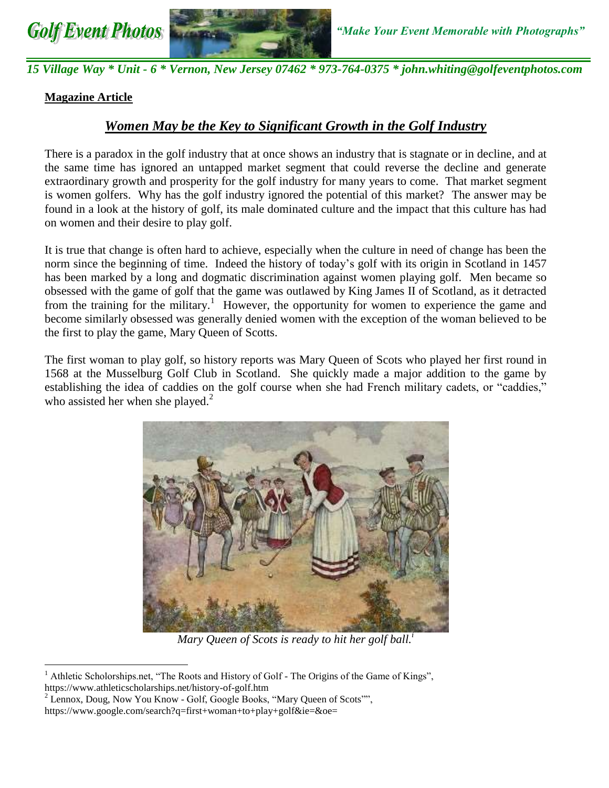



*15 Village Way \* Unit - 6 \* Vernon, New Jersey 07462 \* 973-764-0375 \* john.whiting@golfeventphotos.com* 

# **Magazine Article**

 $\overline{a}$ 

# *Women May be the Key to Significant Growth in the Golf Industry*

There is a paradox in the golf industry that at once shows an industry that is stagnate or in decline, and at the same time has ignored an untapped market segment that could reverse the decline and generate extraordinary growth and prosperity for the golf industry for many years to come. That market segment is women golfers. Why has the golf industry ignored the potential of this market? The answer may be found in a look at the history of golf, its male dominated culture and the impact that this culture has had on women and their desire to play golf.

It is true that change is often hard to achieve, especially when the culture in need of change has been the norm since the beginning of time. Indeed the history of today's golf with its origin in Scotland in 1457 has been marked by a long and dogmatic discrimination against women playing golf. Men became so obsessed with the game of golf that the game was outlawed by King James II of Scotland, as it detracted from the training for the military.<sup>1</sup> However, the opportunity for women to experience the game and become similarly obsessed was generally denied women with the exception of the woman believed to be the first to play the game, Mary Queen of Scotts.

The first woman to play golf, so history reports was Mary Queen of Scots who played her first round in 1568 at the Musselburg Golf Club in Scotland. She quickly made a major addition to the game by establishing the idea of caddies on the golf course when she had French military cadets, or "caddies," who assisted her when she played.<sup>2</sup>



*Mary Queen of Scots is ready to hit her golf ball.[i](https://www.google.com/url?sa=i&rct=j&q=&esrc=s&source=images&cd=&cad=rja&uact=8&ved=0ahUKEwj_1LC3kenXAhWrQt8KHS5HBlMQjRwIBw&url=http://golfhard.club/opinion/go-ahead-play-golf-in-a-t-shirt/attachment/mary-queen-of-scots/&psig=AOvVaw0YeG-tyT0qW0-ST-cRjLpT&ust=1512228677796612)*

<sup>&</sup>lt;sup>1</sup> Athletic Scholorships.net, "The Roots and History of Golf - The Origins of the Game of Kings", https://www.athleticscholarships.net/history-of-golf.htm

 $2$  Lennox, Doug, Now You Know - Golf, Google Books, "Mary Queen of Scots"", https://www.google.com/search?q=first+woman+to+play+golf&ie=&oe=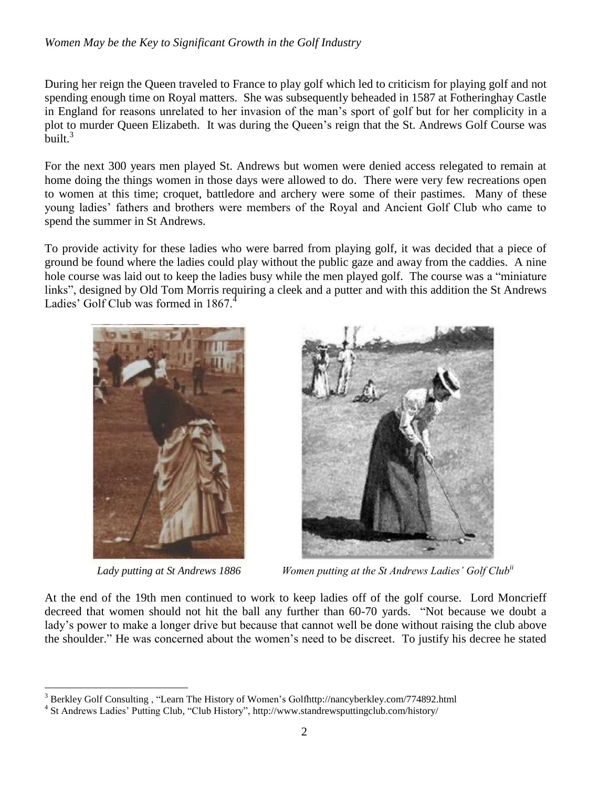During her reign the Queen traveled to France to play golf which led to criticism for playing golf and not spending enough time on Royal matters. She was subsequently beheaded in 1587 at Fotheringhay Castle in England for reasons unrelated to her invasion of the man's sport of golf but for her complicity in a plot to murder Queen Elizabeth. It was during the Queen's reign that the St. Andrews Golf Course was built.<sup>3</sup>

For the next 300 years men played St. Andrews but women were denied access relegated to remain at home doing the things women in those days were allowed to do. There were very few recreations open to women at this time; croquet, battledore and archery were some of their pastimes. Many of these young ladies' fathers and brothers were members of the Royal and Ancient Golf Club who came to spend the summer in St Andrews.

To provide activity for these ladies who were barred from playing golf, it was decided that a piece of ground be found where the ladies could play without the public gaze and away from the caddies. A nine hole course was laid out to keep the ladies busy while the men played golf. The course was a "miniature links", designed by Old Tom Morris requiring a cleek and a putter and with this addition the St Andrews Ladies' Golf Club was formed in 1867.





*Lady putting at St Andrews 1886 Women putting at the St Andrews Ladies' Golf Clubii*

At the end of the 19th men continued to work to keep ladies off of the golf course. Lord Moncrieff decreed that women should not hit the ball any further than 60-70 yards. "Not because we doubt a lady's power to make a longer drive but because that cannot well be done without raising the club above the shoulder." He was concerned about the women's need to be discreet. To justify his decree he stated

 $\overline{a}$ <sup>3</sup> Berkley Golf Consulting, "Learn The History of Women's Golfhttp://nancyberkley.com/774892.html

<sup>4</sup> St Andrews Ladies' Putting Club, "Club History", http://www.standrewsputtingclub.com/history/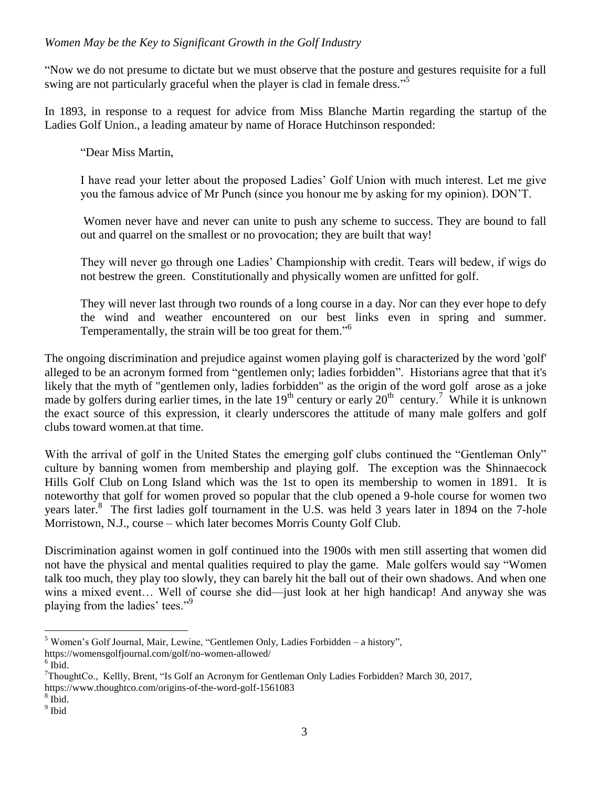"Now we do not presume to dictate but we must observe that the posture and gestures requisite for a full swing are not particularly graceful when the player is clad in female dress."<sup>5</sup>

In 1893, in response to a request for advice from Miss Blanche Martin regarding the startup of the Ladies Golf Union., a leading amateur by name of Horace Hutchinson responded:

"Dear Miss Martin,

I have read your letter about the proposed Ladies' Golf Union with much interest. Let me give you the famous advice of Mr Punch (since you honour me by asking for my opinion). DON'T.

Women never have and never can unite to push any scheme to success. They are bound to fall out and quarrel on the smallest or no provocation; they are built that way!

They will never go through one Ladies' Championship with credit. Tears will bedew, if wigs do not bestrew the green. Constitutionally and physically women are unfitted for golf.

They will never last through two rounds of a long course in a day. Nor can they ever hope to defy the wind and weather encountered on our best links even in spring and summer. Temperamentally, the strain will be too great for them."<sup>6</sup>

The ongoing discrimination and prejudice against women playing golf is characterized by the word 'golf' alleged to be an acronym formed from "gentlemen only; ladies forbidden". Historians agree that that it's likely that the myth of "gentlemen only, ladies forbidden" as the origin of the word golf arose as a joke made by golfers during earlier times, in the late  $19^{th}$  century or early  $20^{th}$  century.<sup>7</sup> While it is unknown the exact source of this expression, it clearly underscores the attitude of many male golfers and golf clubs toward women.at that time.

With the arrival of golf in the United States the emerging golf clubs continued the "Gentleman Only" culture by banning women from membership and playing golf. The exception was the Shinnaecock Hills Golf Club on Long Island which was the 1st to open its membership to women in 1891. It is noteworthy that golf for women proved so popular that the club opened a 9-hole course for women two years later.<sup>8</sup> The first ladies golf tournament in the U.S. was held 3 years later in 1894 on the 7-hole Morristown, N.J., course – which later becomes Morris County Golf Club.

Discrimination against women in golf continued into the 1900s with men still asserting that women did not have the physical and mental qualities required to play the game. Male golfers would say "Women talk too much, they play too slowly, they can barely hit the ball out of their own shadows. And when one wins a mixed event... Well of course she did—just look at her high handicap! And anyway she was playing from the ladies' tees."<sup>9</sup>

 $\overline{a}$ 

https://www.thoughtco.com/origins-of-the-word-golf-1561083

 $<sup>5</sup>$  Women's Golf Journal, Mair, Lewine, "Gentlemen Only, Ladies Forbidden – a history",</sup>

https://womensgolfjournal.com/golf/no-women-allowed/

 $6$  Ibid.

<sup>7</sup>ThoughtCo., Kellly, Brent, "Is Golf an Acronym for Gentleman Only Ladies Forbidden? March 30, 2017,

<sup>8</sup> Ibid.

<sup>&</sup>lt;sup>9</sup> Ibid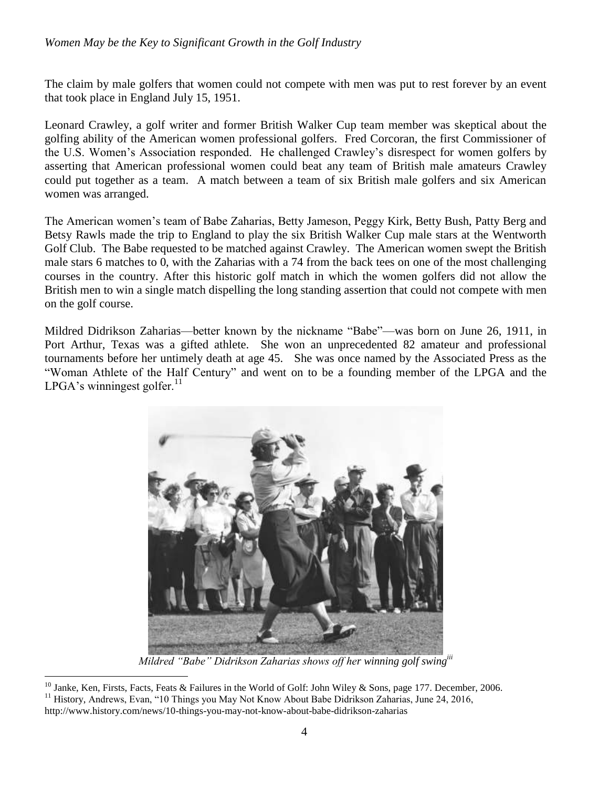The claim by male golfers that women could not compete with men was put to rest forever by an event that took place in England July 15, 1951.

Leonard Crawley, a golf writer and former British Walker Cup team member was skeptical about the golfing ability of the American women professional golfers. Fred Corcoran, the first Commissioner of the U.S. Women's Association responded. He challenged Crawley's disrespect for women golfers by asserting that American professional women could beat any team of British male amateurs Crawley could put together as a team. A match between a team of six British male golfers and six American women was arranged.

The American women's team of Babe Zaharias, Betty Jameson, Peggy Kirk, Betty Bush, Patty Berg and Betsy Rawls made the trip to England to play the six British Walker Cup male stars at the Wentworth Golf Club. The Babe requested to be matched against Crawley. The American women swept the British male stars 6 matches to 0, with the Zaharias with a 74 from the back tees on one of the most challenging courses in the country. After this historic golf match in which the women golfers did not allow the British men to win a single match dispelling the long standing assertion that could not compete with men on the golf course.

Mildred Didrikson Zaharias—better known by the nickname "Babe"—was born on June 26, 1911, in Port Arthur, Texas was a gifted athlete. She won an unprecedented 82 amateur and professional tournaments before her untimely death at age 45. She was once named by the Associated Press as the "Woman Athlete of the Half Century" and went on to be a founding member of the LPGA and the LPGA's winningest golfer.<sup>11</sup>



*Mildred "Babe" Didrikson Zaharias shows off her winning golf swingiii*

 $\overline{a}$ 

<sup>&</sup>lt;sup>10</sup> Janke, Ken, Firsts, Facts, Feats & Failures in the World of Golf: John Wiley & Sons, page 177. December, 2006. <sup>11</sup> History, Andrews, Evan, "10 Things you May Not Know About Babe Didrikson Zaharias, June 24, 2016, http://www.history.com/news/10-things-you-may-not-know-about-babe-didrikson-zaharias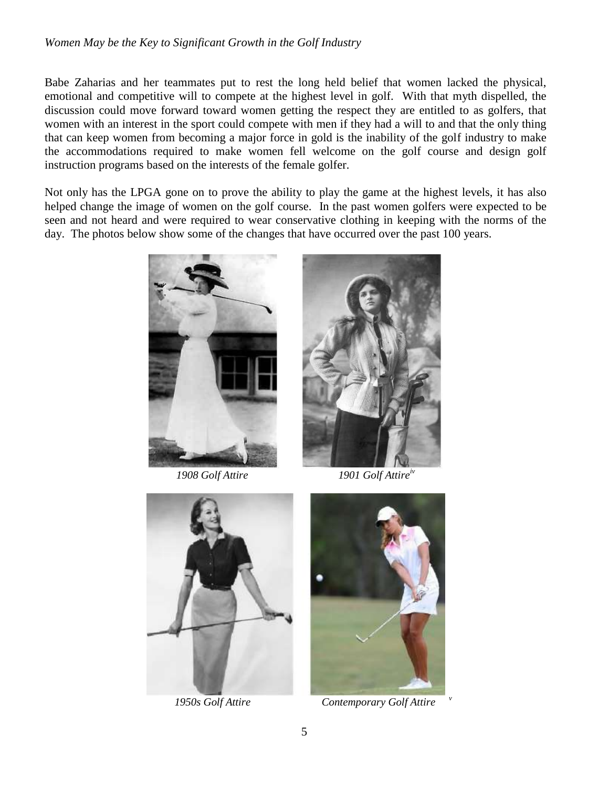Babe Zaharias and her teammates put to rest the long held belief that women lacked the physical, emotional and competitive will to compete at the highest level in golf. With that myth dispelled, the discussion could move forward toward women getting the respect they are entitled to as golfers, that women with an interest in the sport could compete with men if they had a will to and that the only thing that can keep women from becoming a major force in gold is the inability of the golf industry to make the accommodations required to make women fell welcome on the golf course and design golf instruction programs based on the interests of the female golfer.

Not only has the LPGA gone on to prove the ability to play the game at the highest levels, it has also helped change the image of women on the golf course. In the past women golfers were expected to be seen and not heard and were required to wear conservative clothing in keeping with the norms of the day. The photos below show some of the changes that have occurred over the past 100 years.





*1908 Golf Attire 1901 Golf Attireiv*





*1950s Golf Attire Contemporary Golf Attire* 

*v*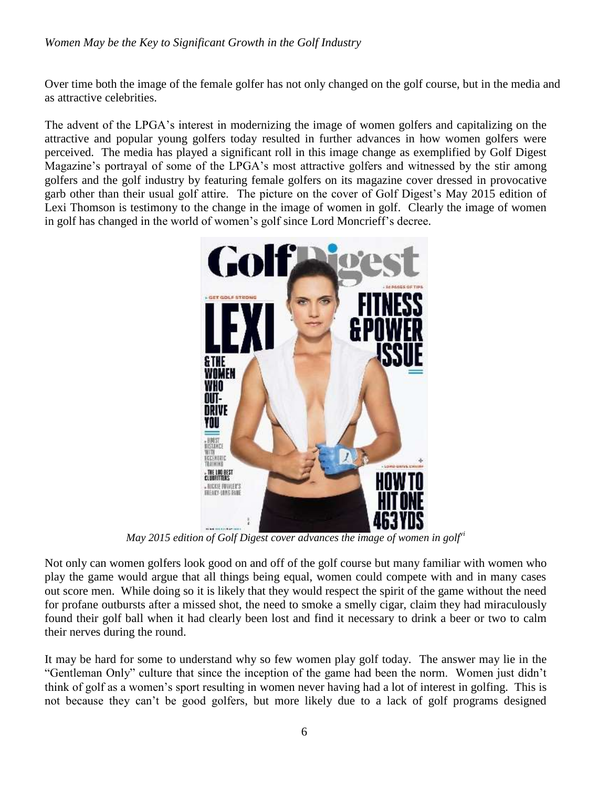Over time both the image of the female golfer has not only changed on the golf course, but in the media and as attractive celebrities.

The advent of the LPGA's interest in modernizing the image of women golfers and capitalizing on the attractive and popular young golfers today resulted in further advances in how women golfers were perceived. The media has played a significant roll in this image change as exemplified by Golf Digest Magazine's portrayal of some of the LPGA's most attractive golfers and witnessed by the stir among golfers and the golf industry by featuring female golfers on its magazine cover dressed in provocative garb other than their usual golf attire. The picture on the cover of Golf Digest's May 2015 edition of Lexi Thomson is testimony to the change in the image of women in golf. Clearly the image of women in golf has changed in the world of women's golf since Lord Moncrieff's decree.



*May 2015 edition of Golf Digest cover advances the image of women in golfvi*

Not only can women golfers look good on and off of the golf course but many familiar with women who play the game would argue that all things being equal, women could compete with and in many cases out score men. While doing so it is likely that they would respect the spirit of the game without the need for profane outbursts after a missed shot, the need to smoke a smelly cigar, claim they had miraculously found their golf ball when it had clearly been lost and find it necessary to drink a beer or two to calm their nerves during the round.

It may be hard for some to understand why so few women play golf today. The answer may lie in the "Gentleman Only" culture that since the inception of the game had been the norm. Women just didn't think of golf as a women's sport resulting in women never having had a lot of interest in golfing. This is not because they can't be good golfers, but more likely due to a lack of golf programs designed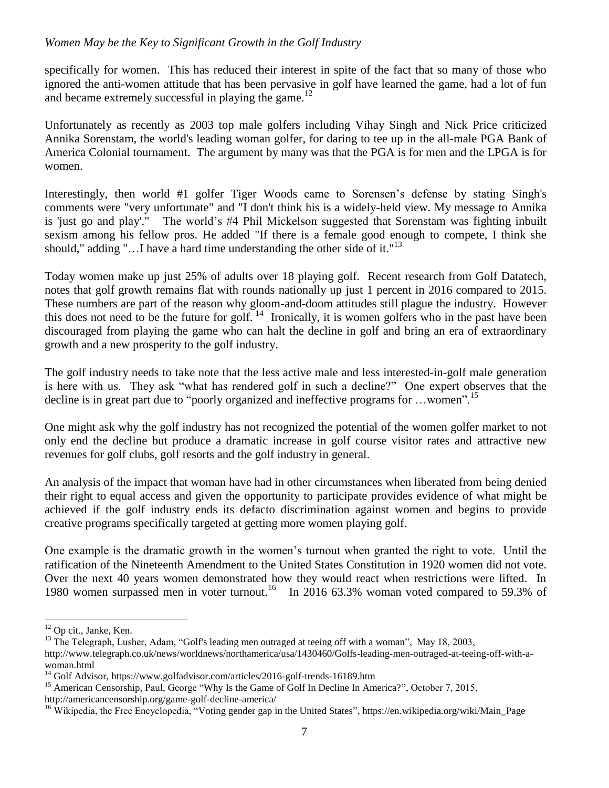specifically for women. This has reduced their interest in spite of the fact that so many of those who ignored the anti-women attitude that has been pervasive in golf have learned the game, had a lot of fun and became extremely successful in playing the game.<sup>12</sup>

Unfortunately as recently as 2003 top male golfers including Vihay Singh and Nick Price criticized Annika Sorenstam, the world's leading woman golfer, for daring to tee up in the all-male PGA Bank of America Colonial tournament. The argument by many was that the PGA is for men and the LPGA is for women.

Interestingly, then world #1 golfer Tiger Woods came to Sorensen's defense by stating Singh's comments were "very unfortunate" and "I don't think his is a widely-held view. My message to Annika is 'just go and play'." The world's #4 Phil Mickelson suggested that Sorenstam was fighting inbuilt sexism among his fellow pros. He added "If there is a female good enough to compete, I think she should," adding "...I have a hard time understanding the other side of it." $13$ 

Today women make up just 25% of adults over 18 playing golf. Recent research from Golf Datatech, notes that golf growth remains flat with rounds nationally up just 1 percent in 2016 compared to 2015. These numbers are part of the reason why gloom-and-doom attitudes still plague the industry. However this does not need to be the future for golf.<sup>14</sup> Ironically, it is women golfers who in the past have been discouraged from playing the game who can halt the decline in golf and bring an era of extraordinary growth and a new prosperity to the golf industry.

The golf industry needs to take note that the less active male and less interested-in-golf male generation is here with us. They ask "what has rendered golf in such a decline?" One expert observes that the decline is in great part due to "poorly organized and ineffective programs for  $\dots$ women".<sup>15</sup>

One might ask why the golf industry has not recognized the potential of the women golfer market to not only end the decline but produce a dramatic increase in golf course visitor rates and attractive new revenues for golf clubs, golf resorts and the golf industry in general.

An analysis of the impact that woman have had in other circumstances when liberated from being denied their right to equal access and given the opportunity to participate provides evidence of what might be achieved if the golf industry ends its defacto discrimination against women and begins to provide creative programs specifically targeted at getting more women playing golf.

One example is the dramatic growth in the women's turnout when granted the right to vote. Until the ratification of the Nineteenth Amendment to the United States Constitution in 1920 women did not vote. Over the next 40 years women demonstrated how they would react when restrictions were lifted. In 1980 women surpassed men in voter turnout.<sup>16</sup> In 2016 63.3% woman voted compared to 59.3% of

 $\overline{a}$ 

 $12$  Op cit., Janke, Ken.

<sup>&</sup>lt;sup>13</sup> The Telegraph, Lusher, Adam, "Golf's leading men outraged at teeing off with a woman", May 18, 2003,

http://www.telegraph.co.uk/news/worldnews/northamerica/usa/1430460/Golfs-leading-men-outraged-at-teeing-off-with-awoman.html

<sup>&</sup>lt;sup>14</sup> Golf Advisor, https://www.golfadvisor.com/articles/2016-golf-trends-16189.htm

<sup>&</sup>lt;sup>15</sup> American Censorship, Paul, George "Why Is the Game of Golf In Decline In America?", October 7, 2015,

http://americancensorship.org/game-golf-decline-america/

<sup>&</sup>lt;sup>16</sup> Wikipedia, the Free Encyclopedia, "Voting gender gap in the United States", https://en.wikipedia.org/wiki/Main\_Page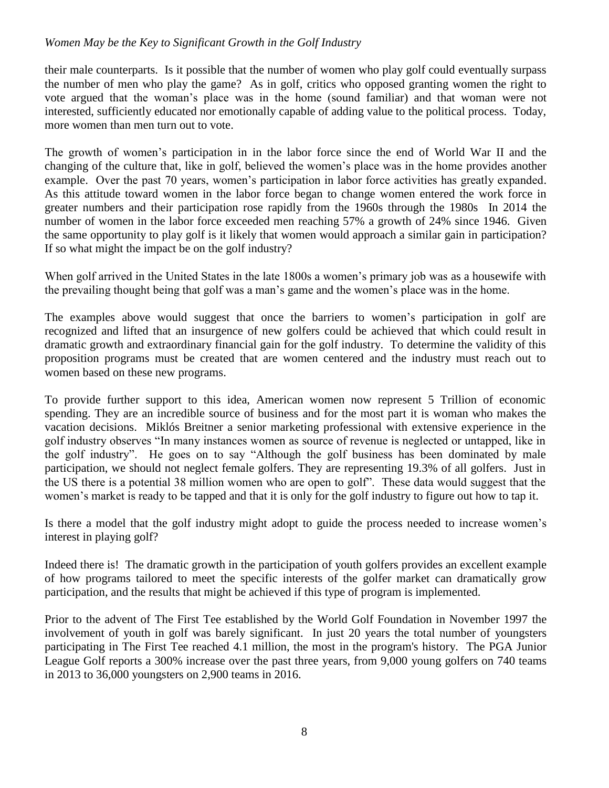their male counterparts. Is it possible that the number of women who play golf could eventually surpass the number of men who play the game? As in golf, critics who opposed granting women the right to vote argued that the woman's place was in the home (sound familiar) and that woman were not interested, sufficiently educated nor emotionally capable of adding value to the political process. Today, more women than men turn out to vote.

The growth of women's participation in in the labor force since the end of World War II and the changing of the culture that, like in golf, believed the women's place was in the home provides another example. Over the past 70 years, women's participation in labor force activities has greatly expanded. As this attitude toward women in the labor force began to change women entered the work force in greater numbers and their participation rose rapidly from the 1960s through the 1980s In 2014 the number of women in the labor force exceeded men reaching 57% a growth of 24% since 1946. Given the same opportunity to play golf is it likely that women would approach a similar gain in participation? If so what might the impact be on the golf industry?

When golf arrived in the United States in the late 1800s a women's primary job was as a housewife with the prevailing thought being that golf was a man's game and the women's place was in the home.

The examples above would suggest that once the barriers to women's participation in golf are recognized and lifted that an insurgence of new golfers could be achieved that which could result in dramatic growth and extraordinary financial gain for the golf industry. To determine the validity of this proposition programs must be created that are women centered and the industry must reach out to women based on these new programs.

To provide further support to this idea, American women now represent 5 Trillion of economic spending. They are an incredible source of business and for the most part it is woman who makes the vacation decisions. Miklós Breitner a senior marketing professional with extensive experience in the golf industry observes "In many instances women as source of revenue is neglected or untapped, like in the golf industry". He goes on to say "Although the golf business has been dominated by male participation, we should not neglect female golfers. They are representing 19.3% of all golfers. Just in the US there is a potential 38 million women who are open to golf". These data would suggest that the women's market is ready to be tapped and that it is only for the golf industry to figure out how to tap it.

Is there a model that the golf industry might adopt to guide the process needed to increase women's interest in playing golf?

Indeed there is! The dramatic growth in the participation of youth golfers provides an excellent example of how programs tailored to meet the specific interests of the golfer market can dramatically grow participation, and the results that might be achieved if this type of program is implemented.

Prior to the advent of The First Tee established by the World Golf Foundation in November 1997 the involvement of youth in golf was barely significant. In just 20 years the total number of youngsters participating in The First Tee reached 4.1 million, the most in the program's history. The PGA Junior League Golf reports a 300% increase over the past three years, from 9,000 young golfers on 740 teams in 2013 to 36,000 youngsters on 2,900 teams in 2016.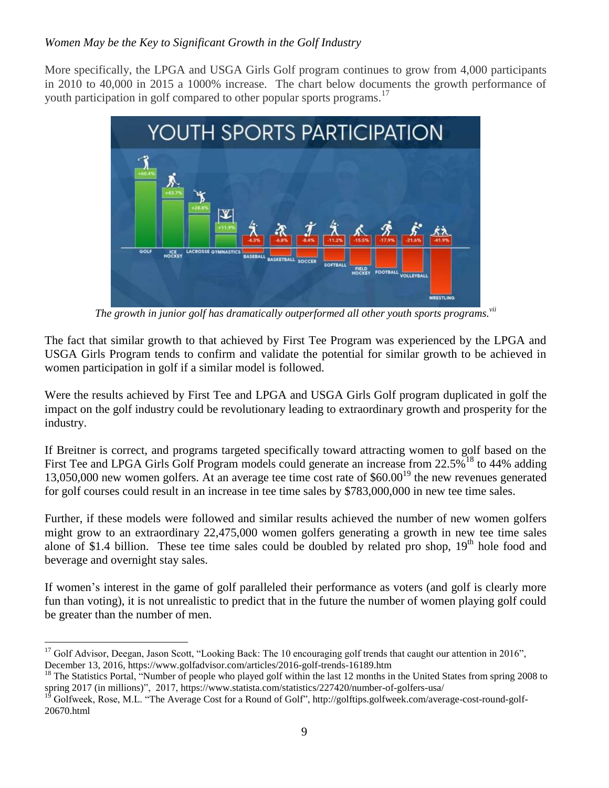More specifically, the LPGA and USGA Girls Golf program continues to grow from 4,000 participants in 2010 to 40,000 in 2015 a 1000% increase. The chart below documents the growth performance of youth participation in golf compared to other popular sports programs.<sup>17</sup>



*The growth in junior golf has dramatically outperformed all other youth sports programs.vii*

The fact that similar growth to that achieved by First Tee Program was experienced by the LPGA and USGA Girls Program tends to confirm and validate the potential for similar growth to be achieved in women participation in golf if a similar model is followed.

Were the results achieved by First Tee and LPGA and USGA Girls Golf program duplicated in golf the impact on the golf industry could be revolutionary leading to extraordinary growth and prosperity for the industry.

If Breitner is correct, and programs targeted specifically toward attracting women to golf based on the First Tee and LPGA Girls Golf Program models could generate an increase from 22.5%<sup>18</sup> to 44% adding 13,050,000 new women golfers. At an average tee time cost rate of  $$60.00<sup>19</sup>$  the new revenues generated for golf courses could result in an increase in tee time sales by \$783,000,000 in new tee time sales.

Further, if these models were followed and similar results achieved the number of new women golfers might grow to an extraordinary 22,475,000 women golfers generating a growth in new tee time sales alone of \$1.4 billion. These tee time sales could be doubled by related pro shop,  $19<sup>th</sup>$  hole food and beverage and overnight stay sales.

If women's interest in the game of golf paralleled their performance as voters (and golf is clearly more fun than voting), it is not unrealistic to predict that in the future the number of women playing golf could be greater than the number of men.

 $\overline{a}$ 

 $17$  Golf Advisor, Deegan, Jason Scott, "Looking Back: The 10 encouraging golf trends that caught our attention in 2016", December 13, 2016, https://www.golfadvisor.com/articles/2016-golf-trends-16189.htm

<sup>&</sup>lt;sup>18</sup> The Statistics Portal, "Number of people who played golf within the last 12 months in the United States from spring 2008 to spring 2017 (in millions)", 2017, https://www.statista.com/statistics/227420/number-of-golfers-usa/

<sup>19</sup> Golfweek, Rose, M.L. "The Average Cost for a Round of Golf", http://golftips.golfweek.com/average-cost-round-golf-20670.html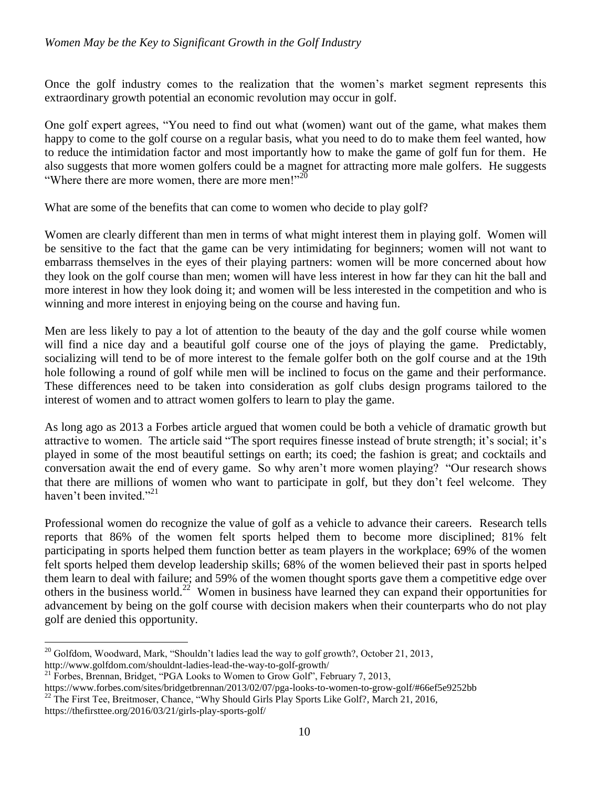Once the golf industry comes to the realization that the women's market segment represents this extraordinary growth potential an economic revolution may occur in golf.

One golf expert agrees, "You need to find out what (women) want out of the game, what makes them happy to come to the golf course on a regular basis, what you need to do to make them feel wanted, how to reduce the intimidation factor and most importantly how to make the game of golf fun for them. He also suggests that more women golfers could be a magnet for attracting more male golfers. He suggests "Where there are more women, there are more men!"  $20$ 

What are some of the benefits that can come to women who decide to play golf?

Women are clearly different than men in terms of what might interest them in playing golf. Women will be sensitive to the fact that the game can be very intimidating for beginners; women will not want to embarrass themselves in the eyes of their playing partners: women will be more concerned about how they look on the golf course than men; women will have less interest in how far they can hit the ball and more interest in how they look doing it; and women will be less interested in the competition and who is winning and more interest in enjoying being on the course and having fun.

Men are less likely to pay a lot of attention to the beauty of the day and the golf course while women will find a nice day and a beautiful golf course one of the joys of playing the game. Predictably, socializing will tend to be of more interest to the female golfer both on the golf course and at the 19th hole following a round of golf while men will be inclined to focus on the game and their performance. These differences need to be taken into consideration as golf clubs design programs tailored to the interest of women and to attract women golfers to learn to play the game.

As long ago as 2013 a Forbes article argued that women could be both a vehicle of dramatic growth but attractive to women. The article said "The sport requires finesse instead of brute strength; it's social; it's played in some of the most beautiful settings on earth; its coed; the fashion is great; and cocktails and conversation await the end of every game. So why aren't more women playing? "Our research shows that there are millions of women who want to participate in golf, but they don't feel welcome. They haven't been invited."<sup>21</sup>

Professional women do recognize the value of golf as a vehicle to advance their careers. Research tells reports that 86% of the women felt sports helped them to become more disciplined; 81% felt participating in sports helped them function better as team players in the workplace; 69% of the women felt sports helped them develop leadership skills; 68% of the women believed their past in sports helped them learn to deal with failure; and 59% of the women thought sports gave them a competitive edge over others in the business world.<sup>22</sup> Women in business have learned they can expand their opportunities for advancement by being on the golf course with decision makers when their counterparts who do not play golf are denied this opportunity.

 $\overline{a}$  $20$  Golfdom, Woodward, Mark, "Shouldn't ladies lead the way to golf growth?, October 21, 2013, http://www.golfdom.com/shouldnt-ladies-lead-the-way-to-golf-growth/

 $21$  Forbes, Brennan, Bridget, "PGA Looks to Women to Grow Golf", February 7, 2013,

https://www.forbes.com/sites/bridgetbrennan/2013/02/07/pga-looks-to-women-to-grow-golf/#66ef5e9252bb <sup>22</sup> The First Tee, Breitmoser, Chance, "Why Should Girls Play Sports Like Golf?, March 21, 2016,

https://thefirsttee.org/2016/03/21/girls-play-sports-golf/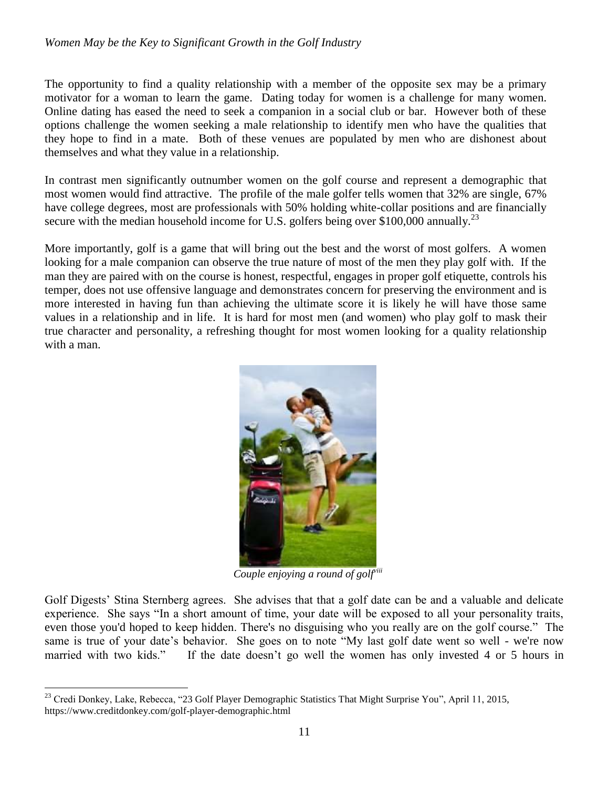The opportunity to find a quality relationship with a member of the opposite sex may be a primary motivator for a woman to learn the game. Dating today for women is a challenge for many women. Online dating has eased the need to seek a companion in a social club or bar. However both of these options challenge the women seeking a male relationship to identify men who have the qualities that they hope to find in a mate. Both of these venues are populated by men who are dishonest about themselves and what they value in a relationship.

In contrast men significantly outnumber women on the golf course and represent a demographic that most women would find attractive. The profile of the male golfer tells women that 32% are single, 67% have college degrees, most are professionals with 50% holding white-collar positions and are financially secure with the median household income for U.S. golfers being over \$100,000 annually.<sup>23</sup>

More importantly, golf is a game that will bring out the best and the worst of most golfers. A women looking for a male companion can observe the true nature of most of the men they play golf with. If the man they are paired with on the course is honest, respectful, engages in proper golf etiquette, controls his temper, does not use offensive language and demonstrates concern for preserving the environment and is more interested in having fun than achieving the ultimate score it is likely he will have those same values in a relationship and in life. It is hard for most men (and women) who play golf to mask their true character and personality, a refreshing thought for most women looking for a quality relationship with a man.



*Couple enjoying a round of golfviii*

Golf Digests' Stina Sternberg agrees. She advises that that a golf date can be and a valuable and delicate experience. She says "In a short amount of time, your date will be exposed to all your personality traits, even those you'd hoped to keep hidden. There's no disguising who you really are on the golf course." The same is true of your date's behavior. She goes on to note "My last golf date went so well - we're now married with two kids." If the date doesn't go well the women has only invested 4 or 5 hours in

 $\overline{a}$ <sup>23</sup> Credi Donkey, Lake, Rebecca, "23 Golf Player Demographic Statistics That Might Surprise You", April 11, 2015, https://www.creditdonkey.com/golf-player-demographic.html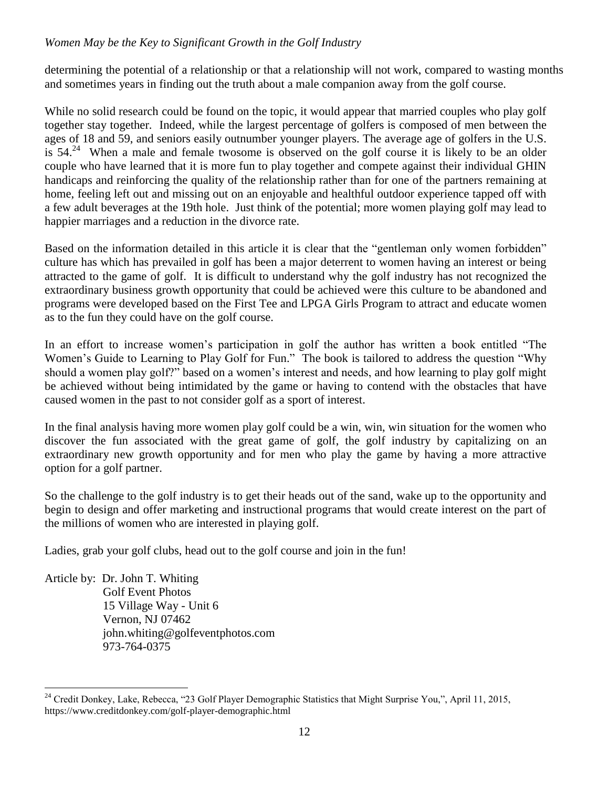determining the potential of a relationship or that a relationship will not work, compared to wasting months and sometimes years in finding out the truth about a male companion away from the golf course.

While no solid research could be found on the topic, it would appear that married couples who play golf together stay together. Indeed, while the largest percentage of golfers is composed of men between the ages of 18 and 59, and seniors easily outnumber younger players. The average age of golfers in the U.S. is  $54.<sup>24</sup>$  When a male and female twosome is observed on the golf course it is likely to be an older couple who have learned that it is more fun to play together and compete against their individual GHIN handicaps and reinforcing the quality of the relationship rather than for one of the partners remaining at home, feeling left out and missing out on an enjoyable and healthful outdoor experience tapped off with a few adult beverages at the 19th hole. Just think of the potential; more women playing golf may lead to happier marriages and a reduction in the divorce rate.

Based on the information detailed in this article it is clear that the "gentleman only women forbidden" culture has which has prevailed in golf has been a major deterrent to women having an interest or being attracted to the game of golf. It is difficult to understand why the golf industry has not recognized the extraordinary business growth opportunity that could be achieved were this culture to be abandoned and programs were developed based on the First Tee and LPGA Girls Program to attract and educate women as to the fun they could have on the golf course.

In an effort to increase women's participation in golf the author has written a book entitled "The Women's Guide to Learning to Play Golf for Fun." The book is tailored to address the question "Why should a women play golf?" based on a women's interest and needs, and how learning to play golf might be achieved without being intimidated by the game or having to contend with the obstacles that have caused women in the past to not consider golf as a sport of interest.

In the final analysis having more women play golf could be a win, win, win situation for the women who discover the fun associated with the great game of golf, the golf industry by capitalizing on an extraordinary new growth opportunity and for men who play the game by having a more attractive option for a golf partner.

So the challenge to the golf industry is to get their heads out of the sand, wake up to the opportunity and begin to design and offer marketing and instructional programs that would create interest on the part of the millions of women who are interested in playing golf.

Ladies, grab your golf clubs, head out to the golf course and join in the fun!

Article by: Dr. John T. Whiting Golf Event Photos 15 Village Way - Unit 6 Vernon, NJ 07462 john.whiting@golfeventphotos.com 973-764-0375

 $\overline{a}$ <sup>24</sup> Credit Donkey, Lake, Rebecca, "23 Golf Player Demographic Statistics that Might Surprise You,", April 11, 2015, https://www.creditdonkey.com/golf-player-demographic.html